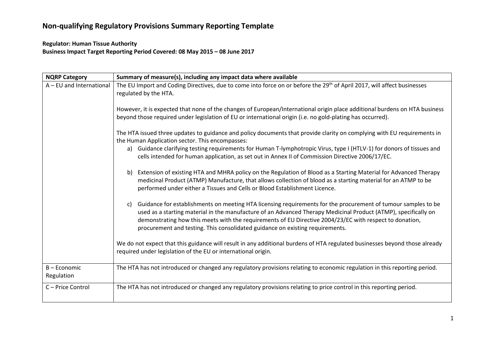#### **Regulator: Human Tissue Authority**

**Business Impact Target Reporting Period Covered: 08 May 2015 – 08 June 2017**

| <b>NQRP Category</b>       | Summary of measure(s), including any impact data where available                                                                                                                                                                                                                                                                                                                                                                   |
|----------------------------|------------------------------------------------------------------------------------------------------------------------------------------------------------------------------------------------------------------------------------------------------------------------------------------------------------------------------------------------------------------------------------------------------------------------------------|
| A - EU and International   | The EU Import and Coding Directives, due to come into force on or before the 29 <sup>th</sup> of April 2017, will affect businesses<br>regulated by the HTA.                                                                                                                                                                                                                                                                       |
|                            | However, it is expected that none of the changes of European/International origin place additional burdens on HTA business<br>beyond those required under legislation of EU or international origin (i.e. no gold-plating has occurred).                                                                                                                                                                                           |
|                            | The HTA issued three updates to guidance and policy documents that provide clarity on complying with EU requirements in<br>the Human Application sector. This encompasses:                                                                                                                                                                                                                                                         |
|                            | a) Guidance clarifying testing requirements for Human T-lymphotropic Virus, type I (HTLV-1) for donors of tissues and<br>cells intended for human application, as set out in Annex II of Commission Directive 2006/17/EC.                                                                                                                                                                                                          |
|                            | Extension of existing HTA and MHRA policy on the Regulation of Blood as a Starting Material for Advanced Therapy<br>b)<br>medicinal Product (ATMP) Manufacture, that allows collection of blood as a starting material for an ATMP to be<br>performed under either a Tissues and Cells or Blood Establishment Licence.                                                                                                             |
|                            | Guidance for establishments on meeting HTA licensing requirements for the procurement of tumour samples to be<br>C)<br>used as a starting material in the manufacture of an Advanced Therapy Medicinal Product (ATMP), specifically on<br>demonstrating how this meets with the requirements of EU Directive 2004/23/EC with respect to donation,<br>procurement and testing. This consolidated guidance on existing requirements. |
|                            | We do not expect that this guidance will result in any additional burdens of HTA regulated businesses beyond those already<br>required under legislation of the EU or international origin.                                                                                                                                                                                                                                        |
| B - Economic<br>Regulation | The HTA has not introduced or changed any regulatory provisions relating to economic regulation in this reporting period.                                                                                                                                                                                                                                                                                                          |
| C-Price Control            | The HTA has not introduced or changed any regulatory provisions relating to price control in this reporting period.                                                                                                                                                                                                                                                                                                                |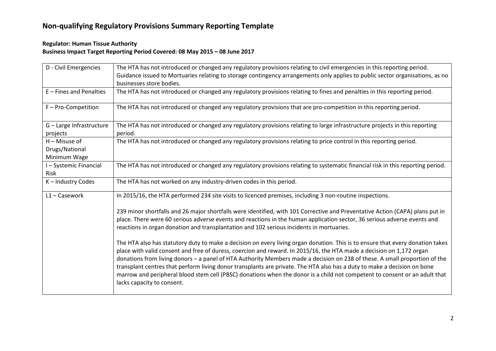#### **Regulator: Human Tissue Authority Business Impact Target Reporting Period Covered: 08 May 2015 – 08 June 2017**

| D - Civil Emergencies                             | The HTA has not introduced or changed any regulatory provisions relating to civil emergencies in this reporting period.<br>Guidance issued to Mortuaries relating to storage contingency arrangements only applies to public sector organisations, as no<br>businesses store bodies.                                                                                                                                                                                                                                                                                                                                                                                         |
|---------------------------------------------------|------------------------------------------------------------------------------------------------------------------------------------------------------------------------------------------------------------------------------------------------------------------------------------------------------------------------------------------------------------------------------------------------------------------------------------------------------------------------------------------------------------------------------------------------------------------------------------------------------------------------------------------------------------------------------|
| E - Fines and Penalties                           | The HTA has not introduced or changed any regulatory provisions relating to fines and penalties in this reporting period.                                                                                                                                                                                                                                                                                                                                                                                                                                                                                                                                                    |
| F - Pro-Competition                               | The HTA has not introduced or changed any regulatory provisions that are pro-competition in this reporting period.                                                                                                                                                                                                                                                                                                                                                                                                                                                                                                                                                           |
| G - Large Infrastructure<br>projects              | The HTA has not introduced or changed any regulatory provisions relating to large infrastructure projects in this reporting<br>period.                                                                                                                                                                                                                                                                                                                                                                                                                                                                                                                                       |
| $H -$ Misuse of<br>Drugs/National<br>Minimum Wage | The HTA has not introduced or changed any regulatory provisions relating to price control in this reporting period.                                                                                                                                                                                                                                                                                                                                                                                                                                                                                                                                                          |
| I-Systemic Financial<br>Risk                      | The HTA has not introduced or changed any regulatory provisions relating to systematic financial risk in this reporting period.                                                                                                                                                                                                                                                                                                                                                                                                                                                                                                                                              |
| K-Industry Codes                                  | The HTA has not worked on any industry-driven codes in this period.                                                                                                                                                                                                                                                                                                                                                                                                                                                                                                                                                                                                          |
| L1-Casework                                       | In 2015/16, the HTA performed 234 site visits to licenced premises, including 3 non-routine inspections.                                                                                                                                                                                                                                                                                                                                                                                                                                                                                                                                                                     |
|                                                   | 239 minor shortfalls and 26 major shortfalls were identified, with 101 Corrective and Preventative Action (CAPA) plans put in<br>place. There were 60 serious adverse events and reactions in the human application sector, 36 serious adverse events and<br>reactions in organ donation and transplantation and 102 serious incidents in mortuaries.                                                                                                                                                                                                                                                                                                                        |
|                                                   | The HTA also has statutory duty to make a decision on every living organ donation. This is to ensure that every donation takes<br>place with valid consent and free of duress, coercion and reward. In 2015/16, the HTA made a decision on 1,172 organ<br>donations from living donors - a panel of HTA Authority Members made a decision on 238 of these. A small proportion of the<br>transplant centres that perform living donor transplants are private. The HTA also has a duty to make a decision on bone<br>marrow and peripheral blood stem cell (PBSC) donations when the donor is a child not competent to consent or an adult that<br>lacks capacity to consent. |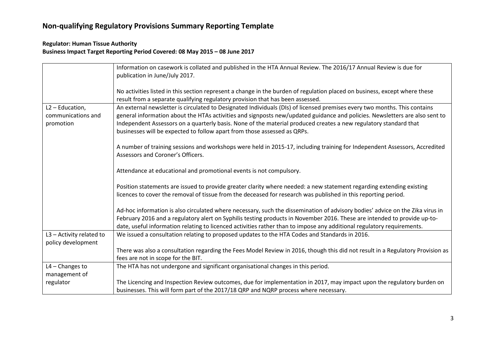#### **Regulator: Human Tissue Authority Business Impact Target Reporting Period Covered: 08 May 2015 – 08 June 2017**

|                          | Information on casework is collated and published in the HTA Annual Review. The 2016/17 Annual Review is due for<br>publication in June/July 2017.                                                           |
|--------------------------|--------------------------------------------------------------------------------------------------------------------------------------------------------------------------------------------------------------|
|                          | No activities listed in this section represent a change in the burden of regulation placed on business, except where these<br>result from a separate qualifying regulatory provision that has been assessed. |
| L2 - Education,          | An external newsletter is circulated to Designated Individuals (DIs) of licensed premises every two months. This contains                                                                                    |
| communications and       | general information about the HTAs activities and signposts new/updated guidance and policies. Newsletters are also sent to                                                                                  |
| promotion                | Independent Assessors on a quarterly basis. None of the material produced creates a new regulatory standard that<br>businesses will be expected to follow apart from those assessed as QRPs.                 |
|                          | A number of training sessions and workshops were held in 2015-17, including training for Independent Assessors, Accredited                                                                                   |
|                          | Assessors and Coroner's Officers.                                                                                                                                                                            |
|                          | Attendance at educational and promotional events is not compulsory.                                                                                                                                          |
|                          | Position statements are issued to provide greater clarity where needed: a new statement regarding extending existing                                                                                         |
|                          | licences to cover the removal of tissue from the deceased for research was published in this reporting period.                                                                                               |
|                          | Ad-hoc information is also circulated where necessary, such the dissemination of advisory bodies' advice on the Zika virus in                                                                                |
|                          | February 2016 and a regulatory alert on Syphilis testing products in November 2016. These are intended to provide up-to-                                                                                     |
|                          | date, useful information relating to licenced activities rather than to impose any additional regulatory requirements.                                                                                       |
| L3 - Activity related to | We issued a consultation relating to proposed updates to the HTA Codes and Standards in 2016.                                                                                                                |
| policy development       |                                                                                                                                                                                                              |
|                          | There was also a consultation regarding the Fees Model Review in 2016, though this did not result in a Regulatory Provision as                                                                               |
|                          | fees are not in scope for the BIT.                                                                                                                                                                           |
| L4 - Changes to          | The HTA has not undergone and significant organisational changes in this period.                                                                                                                             |
| management of            |                                                                                                                                                                                                              |
| regulator                | The Licencing and Inspection Review outcomes, due for implementation in 2017, may impact upon the regulatory burden on                                                                                       |
|                          | businesses. This will form part of the 2017/18 QRP and NQRP process where necessary.                                                                                                                         |